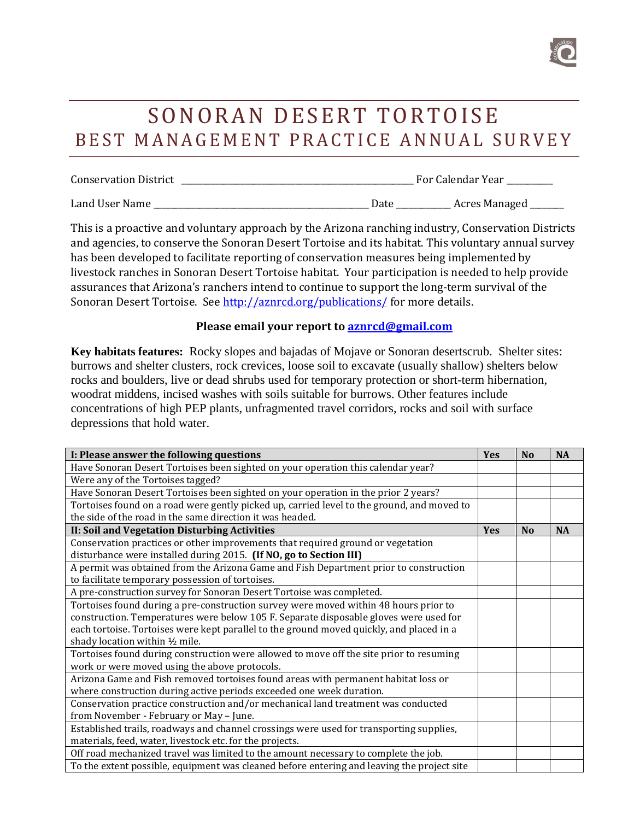

## SONORAN DESERT TORTOISE BEST MANAGEMENT PRACTICE ANNUAL SURVEY

| <b>Conservation District</b> | For Calendar Year |               |
|------------------------------|-------------------|---------------|
| Land User Name               | Date              | Acres Managed |

This is a proactive and voluntary approach by the Arizona ranching industry, Conservation Districts and agencies, to conserve the Sonoran Desert Tortoise and its habitat. This voluntary annual survey has been developed to facilitate reporting of conservation measures being implemented by livestock ranches in Sonoran Desert Tortoise habitat. Your participation is needed to help provide assurances that Arizona's ranchers intend to continue to support the long-term survival of the Sonoran Desert Tortoise. See<http://aznrcd.org/publications/> for more details.

## **Please email your report to [aznrcd@gmail.com](mailto:aznrcd@gmail.com)**

**Key habitats features:** Rocky slopes and bajadas of Mojave or Sonoran desertscrub. Shelter sites: burrows and shelter clusters, rock crevices, loose soil to excavate (usually shallow) shelters below rocks and boulders, live or dead shrubs used for temporary protection or short-term hibernation, woodrat middens, incised washes with soils suitable for burrows. Other features include concentrations of high PEP plants, unfragmented travel corridors, rocks and soil with surface depressions that hold water.

| I: Please answer the following questions                                                   | Yes | N <sub>0</sub> | <b>NA</b> |
|--------------------------------------------------------------------------------------------|-----|----------------|-----------|
| Have Sonoran Desert Tortoises been sighted on your operation this calendar year?           |     |                |           |
| Were any of the Tortoises tagged?                                                          |     |                |           |
| Have Sonoran Desert Tortoises been sighted on your operation in the prior 2 years?         |     |                |           |
| Tortoises found on a road were gently picked up, carried level to the ground, and moved to |     |                |           |
| the side of the road in the same direction it was headed.                                  |     |                |           |
| <b>II: Soil and Vegetation Disturbing Activities</b>                                       |     | N <sub>0</sub> | <b>NA</b> |
| Conservation practices or other improvements that required ground or vegetation            |     |                |           |
| disturbance were installed during 2015. (If NO, go to Section III)                         |     |                |           |
| A permit was obtained from the Arizona Game and Fish Department prior to construction      |     |                |           |
| to facilitate temporary possession of tortoises.                                           |     |                |           |
| A pre-construction survey for Sonoran Desert Tortoise was completed.                       |     |                |           |
| Tortoises found during a pre-construction survey were moved within 48 hours prior to       |     |                |           |
| construction. Temperatures were below 105 F. Separate disposable gloves were used for      |     |                |           |
| each tortoise. Tortoises were kept parallel to the ground moved quickly, and placed in a   |     |                |           |
| shady location within 1/2 mile.                                                            |     |                |           |
| Tortoises found during construction were allowed to move off the site prior to resuming    |     |                |           |
| work or were moved using the above protocols.                                              |     |                |           |
| Arizona Game and Fish removed tortoises found areas with permanent habitat loss or         |     |                |           |
| where construction during active periods exceeded one week duration.                       |     |                |           |
| Conservation practice construction and/or mechanical land treatment was conducted          |     |                |           |
| from November - February or May - June.                                                    |     |                |           |
| Established trails, roadways and channel crossings were used for transporting supplies,    |     |                |           |
| materials, feed, water, livestock etc. for the projects.                                   |     |                |           |
| Off road mechanized travel was limited to the amount necessary to complete the job.        |     |                |           |
| To the extent possible, equipment was cleaned before entering and leaving the project site |     |                |           |